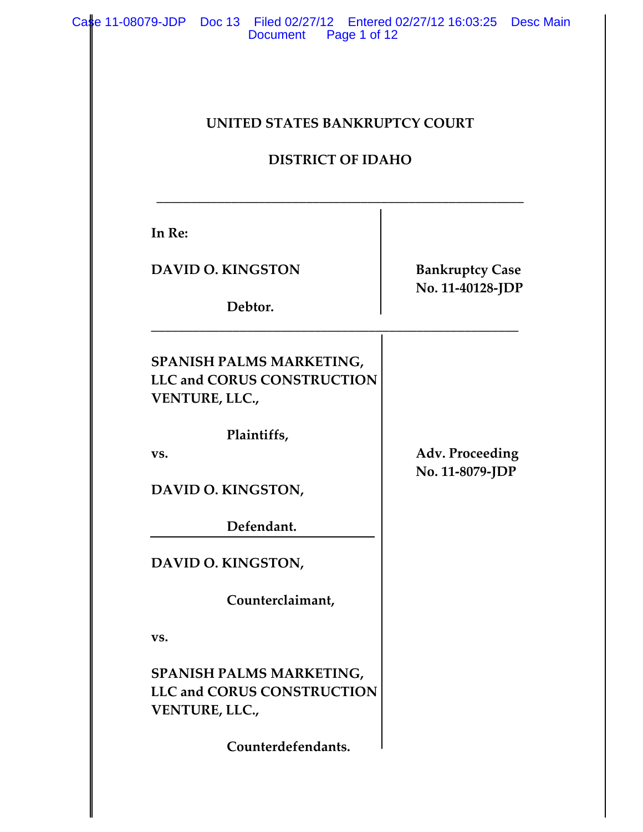| <b>UNITED STATES BANKRUPTCY COURT</b><br><b>DISTRICT OF IDAHO</b>                      |                                    |                          |                        |
|----------------------------------------------------------------------------------------|------------------------------------|--------------------------|------------------------|
|                                                                                        |                                    | In Re:                   |                        |
|                                                                                        |                                    | <b>DAVID O. KINGSTON</b> | <b>Bankruptcy Case</b> |
| Debtor.                                                                                | No. 11-40128-JDP                   |                          |                        |
| SPANISH PALMS MARKETING,<br><b>LLC and CORUS CONSTRUCTION</b><br><b>VENTURE, LLC.,</b> |                                    |                          |                        |
| Plaintiffs,<br>VS.                                                                     | Adv. Proceeding<br>No. 11-8079-JDP |                          |                        |
| DAVID O. KINGSTON,                                                                     |                                    |                          |                        |
| Defendant.                                                                             |                                    |                          |                        |
|                                                                                        |                                    |                          |                        |
| DAVID O. KINGSTON,                                                                     |                                    |                          |                        |
| Counterclaimant,                                                                       |                                    |                          |                        |
| VS.                                                                                    |                                    |                          |                        |
| SPANISH PALMS MARKETING,<br><b>LLC and CORUS CONSTRUCTION</b><br>VENTURE, LLC.,        |                                    |                          |                        |
| Counterdefendants.                                                                     |                                    |                          |                        |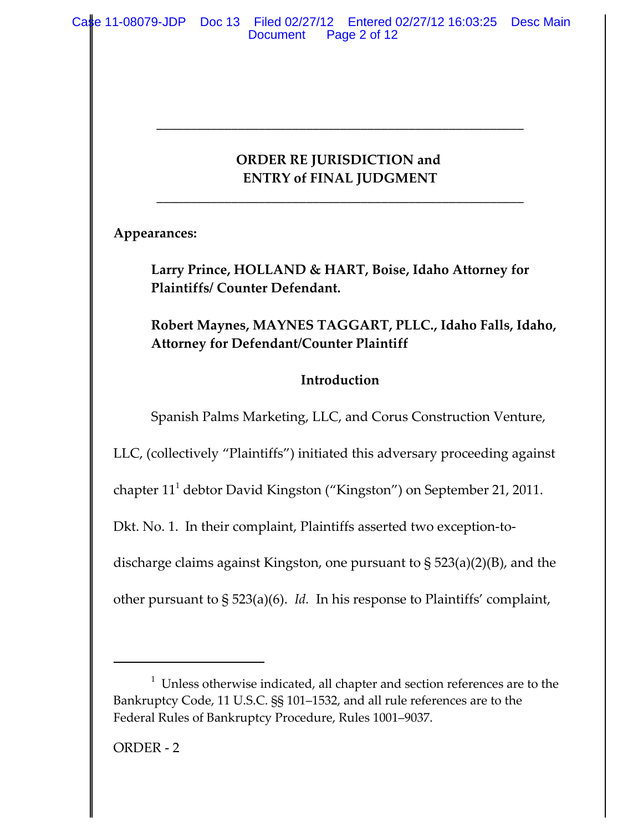## **ORDER RE JURISDICTION and ENTRY of FINAL JUDGMENT**

**\_\_\_\_\_\_\_\_\_\_\_\_\_\_\_\_\_\_\_\_\_\_\_\_\_\_\_\_\_\_\_\_\_\_\_\_\_\_\_\_\_\_\_\_\_\_\_\_\_\_\_\_\_\_**

**\_\_\_\_\_\_\_\_\_\_\_\_\_\_\_\_\_\_\_\_\_\_\_\_\_\_\_\_\_\_\_\_\_\_\_\_\_\_\_\_\_\_\_\_\_\_\_\_\_\_\_\_\_\_**

**Appearances:**

**Larry Prince, HOLLAND & HART, Boise, Idaho Attorney for Plaintiffs/ Counter Defendant.**

**Robert Maynes, MAYNES TAGGART, PLLC., Idaho Falls, Idaho, Attorney for Defendant/Counter Plaintiff**

## **Introduction**

Spanish Palms Marketing, LLC, and Corus Construction Venture,

LLC, (collectively "Plaintiffs") initiated this adversary proceeding against

chapter 111 debtor David Kingston ("Kingston") on September 21, 2011.

Dkt. No. 1. In their complaint, Plaintiffs asserted two exception-to-

discharge claims against Kingston, one pursuant to § 523(a)(2)(B), and the

other pursuant to § 523(a)(6). *Id.* In his response to Plaintiffs' complaint,

 $1$  Unless otherwise indicated, all chapter and section references are to the Bankruptcy Code, 11 U.S.C. §§ 101–1532, and all rule references are to the Federal Rules of Bankruptcy Procedure, Rules 1001–9037.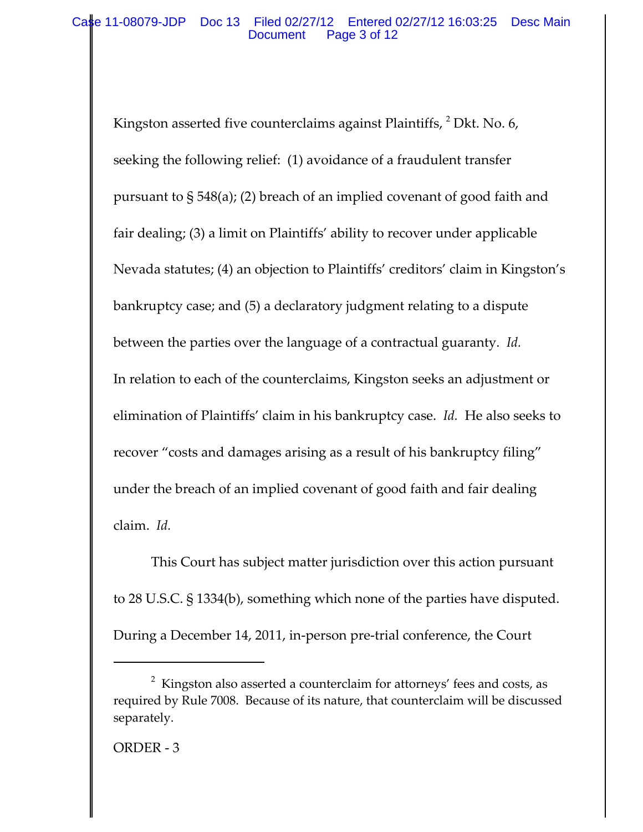Kingston asserted five counterclaims against Plaintiffs, <sup>2</sup> Dkt. No. 6, seeking the following relief: (1) avoidance of a fraudulent transfer pursuant to § 548(a); (2) breach of an implied covenant of good faith and fair dealing; (3) a limit on Plaintiffs' ability to recover under applicable Nevada statutes; (4) an objection to Plaintiffs' creditors' claim in Kingston's bankruptcy case; and (5) a declaratory judgment relating to a dispute between the parties over the language of a contractual guaranty. *Id.* In relation to each of the counterclaims, Kingston seeks an adjustment or elimination of Plaintiffs' claim in his bankruptcy case. *Id.* He also seeks to recover "costs and damages arising as a result of his bankruptcy filing" under the breach of an implied covenant of good faith and fair dealing claim. *Id.*

This Court has subject matter jurisdiction over this action pursuant to 28 U.S.C. § 1334(b), something which none of the parties have disputed. During a December 14, 2011, in‐person pre‐trial conference, the Court

 $2$  Kingston also asserted a counterclaim for attorneys' fees and costs, as required by Rule 7008. Because of its nature, that counterclaim will be discussed separately.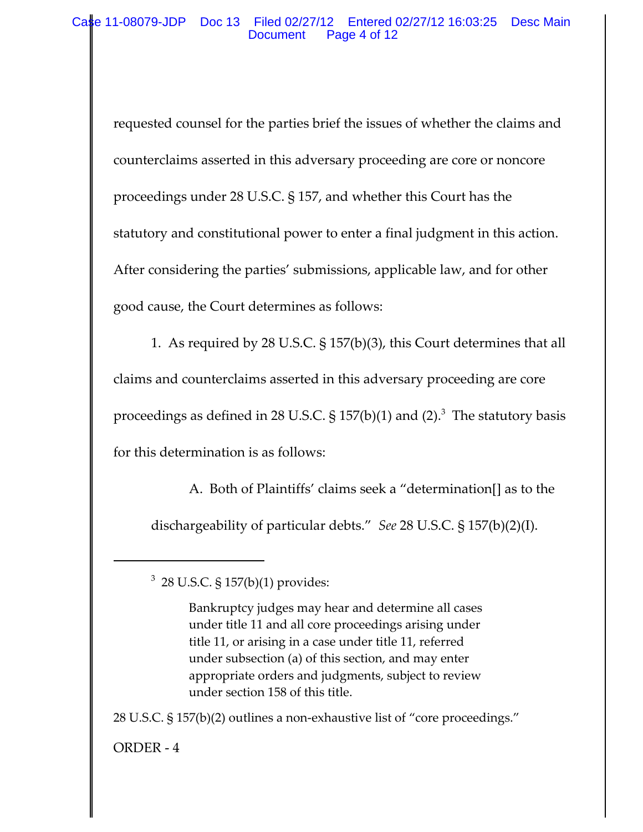requested counsel for the parties brief the issues of whether the claims and counterclaims asserted in this adversary proceeding are core or noncore proceedings under 28 U.S.C. § 157, and whether this Court has the statutory and constitutional power to enter a final judgment in this action. After considering the parties' submissions, applicable law, and for other good cause, the Court determines as follows:

1. As required by 28 U.S.C. § 157(b)(3), this Court determines that all claims and counterclaims asserted in this adversary proceeding are core proceedings as defined in 28 U.S.C. § 157(b)(1) and (2). $^3\,$  The statutory basis for this determination is as follows:

A. Both of Plaintiffs' claims seek a "determination[] as to the dischargeability of particular debts." *See* 28 U.S.C. § 157(b)(2)(I).

28 U.S.C. § 157(b)(2) outlines a non‐exhaustive list of "core proceedings."

ORDER ‐ 4

 $^3$  28 U.S.C. § 157(b)(1) provides:

Bankruptcy judges may hear and determine all cases under title 11 and all core proceedings arising under title 11, or arising in a case under title 11, referred under subsection (a) of this section, and may enter appropriate orders and judgments, subject to review under section 158 of this title.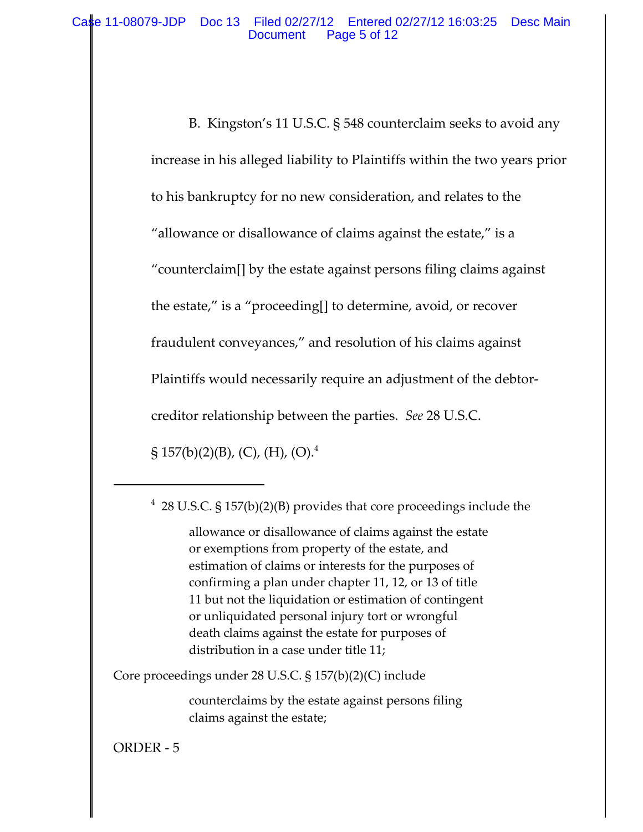B. Kingston's 11 U.S.C. § 548 counterclaim seeks to avoid any increase in his alleged liability to Plaintiffs within the two years prior to his bankruptcy for no new consideration, and relates to the "allowance or disallowance of claims against the estate," is a "counterclaim[] by the estate against persons filing claims against the estate," is a "proceeding[] to determine, avoid, or recover fraudulent conveyances," and resolution of his claims against Plaintiffs would necessarily require an adjustment of the debtor‐ creditor relationship between the parties. *See* 28 U.S.C.

 $\S 157(b)(2)(B)$ , (C), (H), (O).<sup>4</sup>

allowance or disallowance of claims against the estate or exemptions from property of the estate, and estimation of claims or interests for the purposes of confirming a plan under chapter 11, 12, or 13 of title 11 but not the liquidation or estimation of contingent or unliquidated personal injury tort or wrongful death claims against the estate for purposes of distribution in a case under title 11;

Core proceedings under 28 U.S.C. § 157(b)(2)(C) include

counterclaims by the estate against persons filing claims against the estate;

ORDER ‐ 5

 $4$  28 U.S.C. § 157(b)(2)(B) provides that core proceedings include the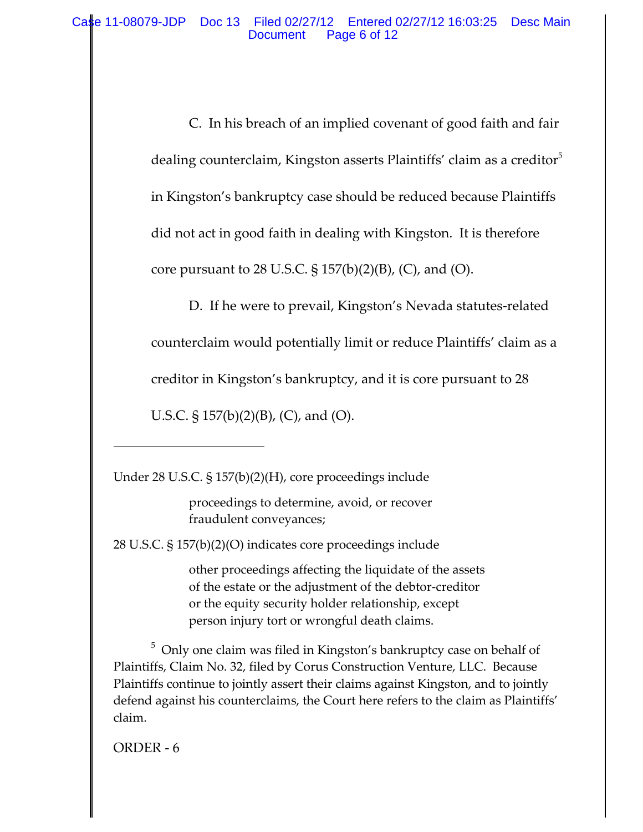C. In his breach of an implied covenant of good faith and fair dealing counterclaim, Kingston asserts Plaintiffs' claim as a creditor<sup>3</sup> in Kingston's bankruptcy case should be reduced because Plaintiffs did not act in good faith in dealing with Kingston. It is therefore core pursuant to 28 U.S.C.  $\S 157(b)(2)(B)$ , (C), and (O).

D. If he were to prevail, Kingston's Nevada statutes-related counterclaim would potentially limit or reduce Plaintiffs' claim as a creditor in Kingston's bankruptcy, and it is core pursuant to 28

U.S.C.  $\S 157(b)(2)(B)$ , (C), and (O).

Under 28 U.S.C. § 157(b)(2)(H), core proceedings include

proceedings to determine, avoid, or recover fraudulent conveyances;

28 U.S.C. § 157(b)(2)(O) indicates core proceedings include

other proceedings affecting the liquidate of the assets of the estate or the adjustment of the debtor‐creditor or the equity security holder relationship, except person injury tort or wrongful death claims.

 $^5$  Only one claim was filed in Kingston's bankruptcy case on behalf of Plaintiffs, Claim No. 32, filed by Corus Construction Venture, LLC. Because Plaintiffs continue to jointly assert their claims against Kingston, and to jointly defend against his counterclaims, the Court here refers to the claim as Plaintiffs' claim.

ORDER ‐ 6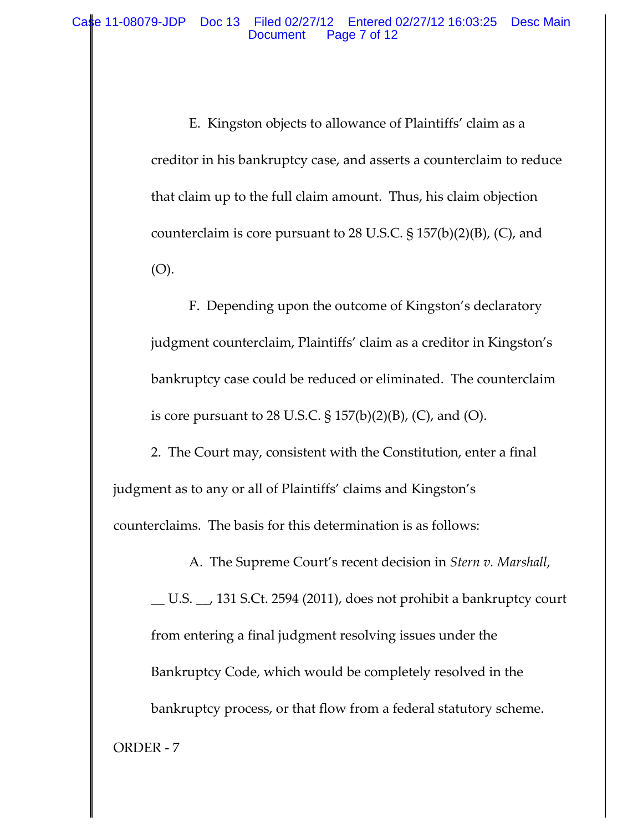E. Kingston objects to allowance of Plaintiffs' claim as a creditor in his bankruptcy case, and asserts a counterclaim to reduce that claim up to the full claim amount. Thus, his claim objection counterclaim is core pursuant to 28 U.S.C. § 157(b)(2)(B), (C), and (O).

F. Depending upon the outcome of Kingston's declaratory judgment counterclaim, Plaintiffs' claim as a creditor in Kingston's bankruptcy case could be reduced or eliminated. The counterclaim is core pursuant to 28 U.S.C. § 157(b)(2)(B), (C), and (O).

2. The Court may, consistent with the Constitution, enter a final judgment as to any or all of Plaintiffs' claims and Kingston's counterclaims. The basis for this determination is as follows:

\_\_ U.S. \_\_, 131 S.Ct. 2594 (2011), does not prohibit a bankruptcy court from entering a final judgment resolving issues under the Bankruptcy Code, which would be completely resolved in the bankruptcy process, or that flow from a federal statutory scheme. ORDER ‐ 7

A. The Supreme Court's recent decision in *Stern v. Marshall*,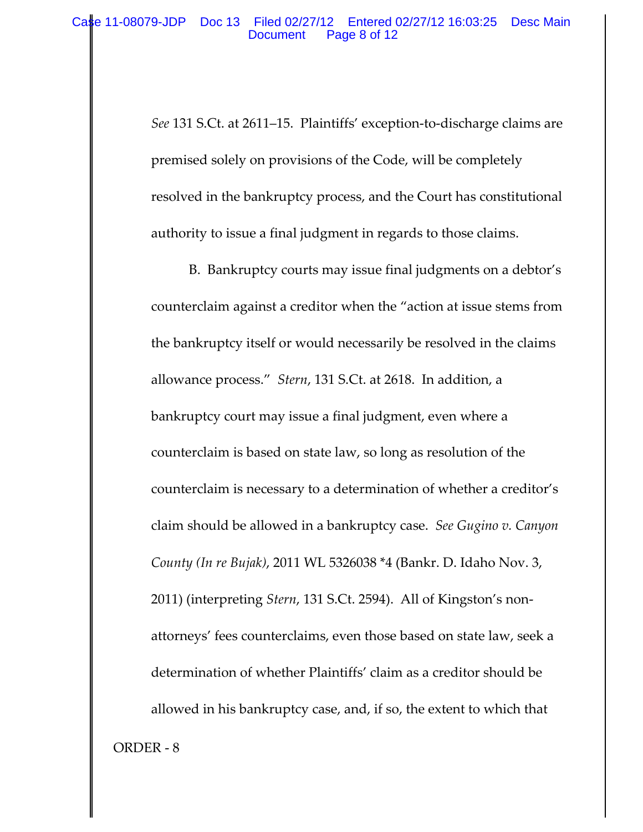*See* 131 S.Ct. at 2611–15. Plaintiffs' exception‐to‐discharge claims are premised solely on provisions of the Code, will be completely resolved in the bankruptcy process, and the Court has constitutional authority to issue a final judgment in regards to those claims.

B. Bankruptcy courts may issue final judgments on a debtor's counterclaim against a creditor when the "action at issue stems from the bankruptcy itself or would necessarily be resolved in the claims allowance process." *Stern*, 131 S.Ct. at 2618. In addition, a bankruptcy court may issue a final judgment, even where a counterclaim is based on state law, so long as resolution of the counterclaim is necessary to a determination of whether a creditor's claim should be allowed in a bankruptcy case. *See Gugino v. Canyon County (In re Bujak)*, 2011 WL 5326038 \*4 (Bankr. D. Idaho Nov. 3, 2011) (interpreting *Stern*, 131 S.Ct. 2594). All of Kingston's non‐ attorneys' fees counterclaims, even those based on state law, seek a determination of whether Plaintiffs' claim as a creditor should be allowed in his bankruptcy case, and, if so, the extent to which that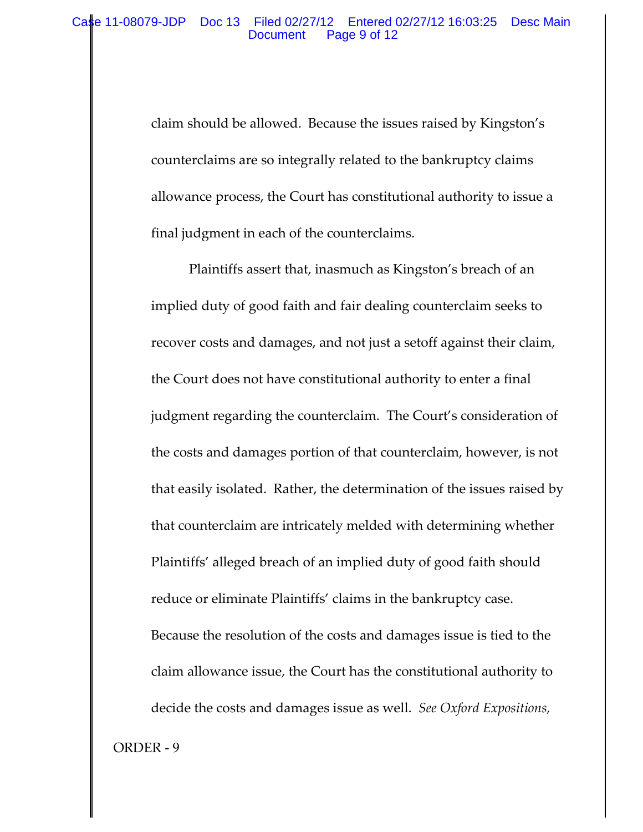claim should be allowed. Because the issues raised by Kingston's counterclaims are so integrally related to the bankruptcy claims allowance process, the Court has constitutional authority to issue a final judgment in each of the counterclaims.

Plaintiffs assert that, inasmuch as Kingston's breach of an implied duty of good faith and fair dealing counterclaim seeks to recover costs and damages, and not just a setoff against their claim, the Court does not have constitutional authority to enter a final judgment regarding the counterclaim. The Court's consideration of the costs and damages portion of that counterclaim, however, is not that easily isolated. Rather, the determination of the issues raised by that counterclaim are intricately melded with determining whether Plaintiffs' alleged breach of an implied duty of good faith should reduce or eliminate Plaintiffs' claims in the bankruptcy case. Because the resolution of the costs and damages issue is tied to the claim allowance issue, the Court has the constitutional authority to decide the costs and damages issue as well. *See Oxford Expositions,* ORDER ‐ 9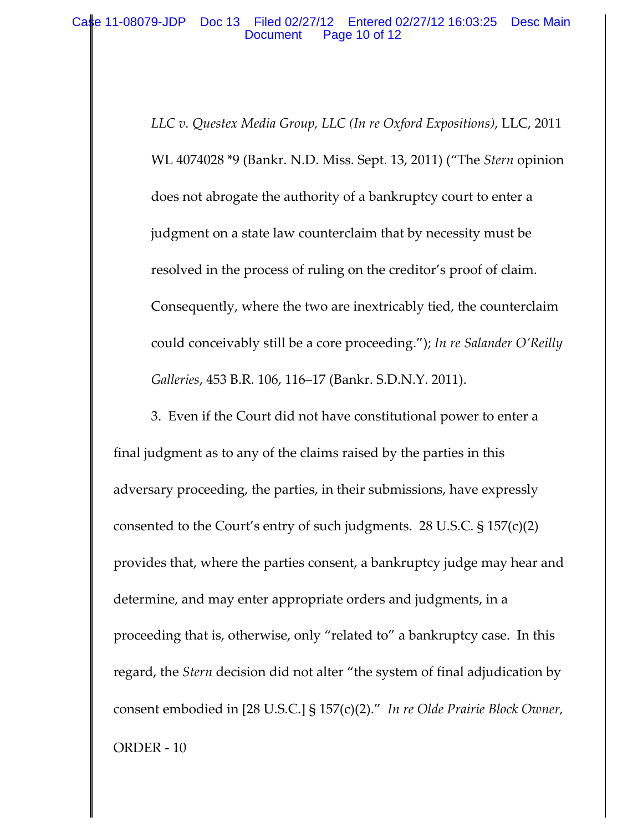*LLC v. Questex Media Group, LLC (In re Oxford Expositions)*, LLC, 2011 WL 4074028 \*9 (Bankr. N.D. Miss. Sept. 13, 2011) ("The *Stern* opinion does not abrogate the authority of a bankruptcy court to enter a judgment on a state law counterclaim that by necessity must be resolved in the process of ruling on the creditor's proof of claim. Consequently, where the two are inextricably tied, the counterclaim could conceivably still be a core proceeding."); *In re Salander O'Reilly Galleries*, 453 B.R. 106, 116–17 (Bankr. S.D.N.Y. 2011).

3. Even if the Court did not have constitutional power to enter a final judgment as to any of the claims raised by the parties in this adversary proceeding, the parties, in their submissions, have expressly consented to the Court's entry of such judgments. 28 U.S.C. § 157(c)(2) provides that, where the parties consent, a bankruptcy judge may hear and determine, and may enter appropriate orders and judgments, in a proceeding that is, otherwise, only "related to" a bankruptcy case. In this regard, the *Stern* decision did not alter "the system of final adjudication by consent embodied in [28 U.S.C.] § 157(c)(2)." *In re Olde Prairie Block Owner,* ORDER ‐ 10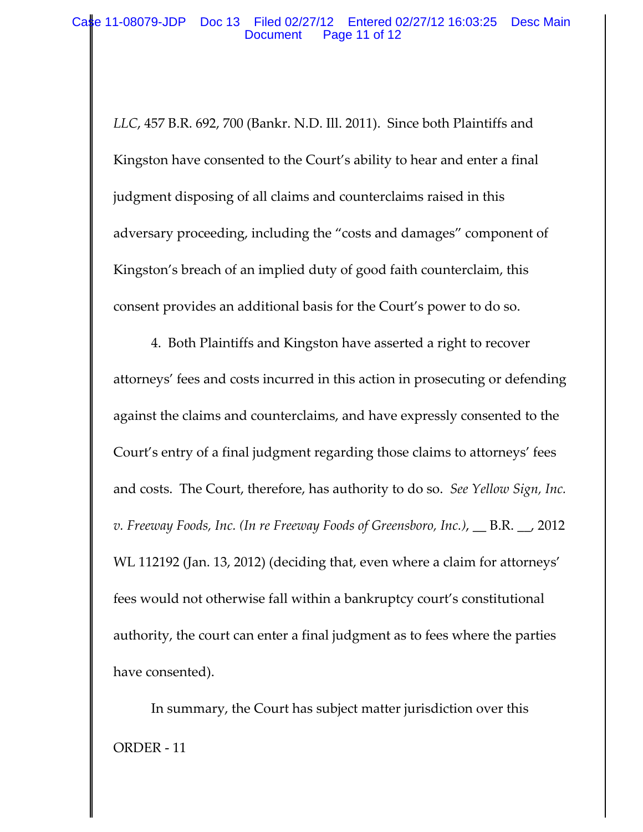*LLC*, 457 B.R. 692, 700 (Bankr. N.D. Ill. 2011). Since both Plaintiffs and Kingston have consented to the Court's ability to hear and enter a final judgment disposing of all claims and counterclaims raised in this adversary proceeding, including the "costs and damages" component of Kingston's breach of an implied duty of good faith counterclaim, this consent provides an additional basis for the Court's power to do so.

4. Both Plaintiffs and Kingston have asserted a right to recover attorneys' fees and costs incurred in this action in prosecuting or defending against the claims and counterclaims, and have expressly consented to the Court's entry of a final judgment regarding those claims to attorneys' fees and costs. The Court, therefore, has authority to do so. *See Yellow Sign, Inc. v. Freeway Foods, Inc. (In re Freeway Foods of Greensboro, Inc.)*, \_\_ B.R. \_\_, 2012 WL 112192 (Jan. 13, 2012) (deciding that, even where a claim for attorneys' fees would not otherwise fall within a bankruptcy court's constitutional authority, the court can enter a final judgment as to fees where the parties have consented).

In summary, the Court has subject matter jurisdiction over this ORDER ‐ 11